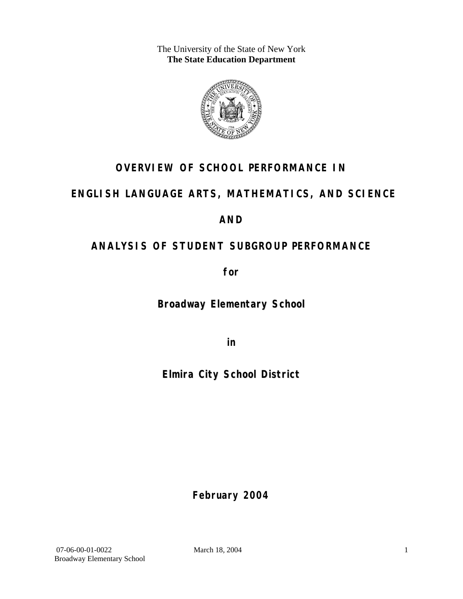The University of the State of New York **The State Education Department** 



## **OVERVIEW OF SCHOOL PERFORMANCE IN**

### **ENGLISH LANGUAGE ARTS, MATHEMATICS, AND SCIENCE**

### **AND**

## **ANALYSIS OF STUDENT SUBGROUP PERFORMANCE**

**for** 

**Broadway Elementary School**

**in** 

**Elmira City School District**

**February 2004**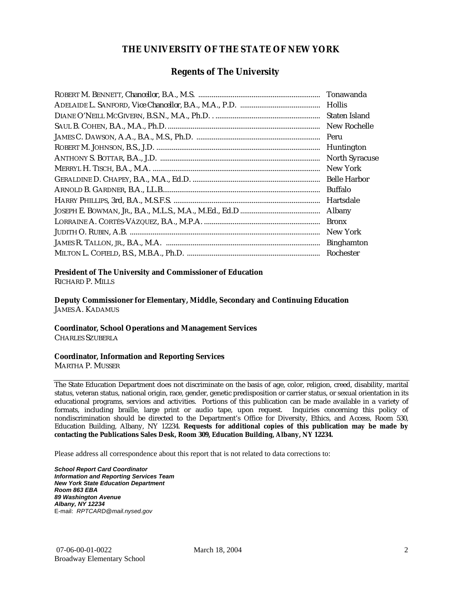#### **THE UNIVERSITY OF THE STATE OF NEW YORK**

#### **Regents of The University**

| Tonawanda             |
|-----------------------|
| <b>Hollis</b>         |
| Staten Island         |
| New Rochelle          |
| Peru                  |
| Huntington            |
| <b>North Syracuse</b> |
| New York              |
| <b>Belle Harbor</b>   |
| Buffalo               |
| Hartsdale             |
| Albany                |
| <b>Bronx</b>          |
| New York              |
| <b>Binghamton</b>     |
| Rochester             |

#### **President of The University and Commissioner of Education**

RICHARD P. MILLS

**Deputy Commissioner for Elementary, Middle, Secondary and Continuing Education**  JAMES A. KADAMUS

#### **Coordinator, School Operations and Management Services**

CHARLES SZUBERLA

#### **Coordinator, Information and Reporting Services**

MARTHA P. MUSSER

The State Education Department does not discriminate on the basis of age, color, religion, creed, disability, marital status, veteran status, national origin, race, gender, genetic predisposition or carrier status, or sexual orientation in its educational programs, services and activities. Portions of this publication can be made available in a variety of formats, including braille, large print or audio tape, upon request. Inquiries concerning this policy of nondiscrimination should be directed to the Department's Office for Diversity, Ethics, and Access, Room 530, Education Building, Albany, NY 12234. **Requests for additional copies of this publication may be made by contacting the Publications Sales Desk, Room 309, Education Building, Albany, NY 12234.** 

Please address all correspondence about this report that is not related to data corrections to:

*School Report Card Coordinator Information and Reporting Services Team New York State Education Department Room 863 EBA 89 Washington Avenue Albany, NY 12234*  E-mail: *RPTCARD@mail.nysed.gov*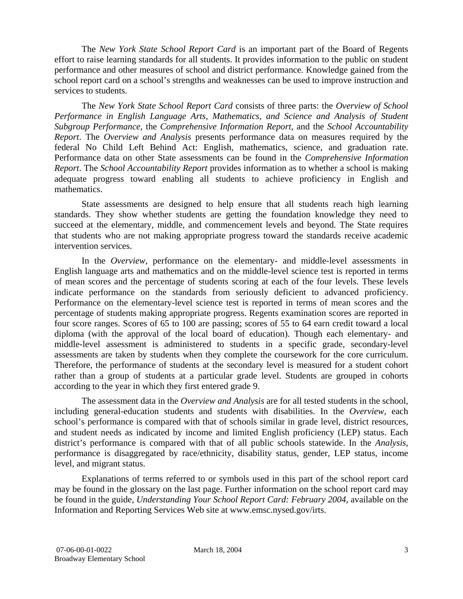The *New York State School Report Card* is an important part of the Board of Regents effort to raise learning standards for all students. It provides information to the public on student performance and other measures of school and district performance. Knowledge gained from the school report card on a school's strengths and weaknesses can be used to improve instruction and services to students.

The *New York State School Report Card* consists of three parts: the *Overview of School Performance in English Language Arts, Mathematics, and Science and Analysis of Student Subgroup Performance,* the *Comprehensive Information Report,* and the *School Accountability Report*. The *Overview and Analysis* presents performance data on measures required by the federal No Child Left Behind Act: English, mathematics, science, and graduation rate. Performance data on other State assessments can be found in the *Comprehensive Information Report*. The *School Accountability Report* provides information as to whether a school is making adequate progress toward enabling all students to achieve proficiency in English and mathematics.

State assessments are designed to help ensure that all students reach high learning standards. They show whether students are getting the foundation knowledge they need to succeed at the elementary, middle, and commencement levels and beyond. The State requires that students who are not making appropriate progress toward the standards receive academic intervention services.

In the *Overview*, performance on the elementary- and middle-level assessments in English language arts and mathematics and on the middle-level science test is reported in terms of mean scores and the percentage of students scoring at each of the four levels. These levels indicate performance on the standards from seriously deficient to advanced proficiency. Performance on the elementary-level science test is reported in terms of mean scores and the percentage of students making appropriate progress. Regents examination scores are reported in four score ranges. Scores of 65 to 100 are passing; scores of 55 to 64 earn credit toward a local diploma (with the approval of the local board of education). Though each elementary- and middle-level assessment is administered to students in a specific grade, secondary-level assessments are taken by students when they complete the coursework for the core curriculum. Therefore, the performance of students at the secondary level is measured for a student cohort rather than a group of students at a particular grade level. Students are grouped in cohorts according to the year in which they first entered grade 9.

The assessment data in the *Overview and Analysis* are for all tested students in the school, including general-education students and students with disabilities. In the *Overview*, each school's performance is compared with that of schools similar in grade level, district resources, and student needs as indicated by income and limited English proficiency (LEP) status. Each district's performance is compared with that of all public schools statewide. In the *Analysis*, performance is disaggregated by race/ethnicity, disability status, gender, LEP status, income level, and migrant status.

Explanations of terms referred to or symbols used in this part of the school report card may be found in the glossary on the last page. Further information on the school report card may be found in the guide, *Understanding Your School Report Card: February 2004*, available on the Information and Reporting Services Web site at www.emsc.nysed.gov/irts.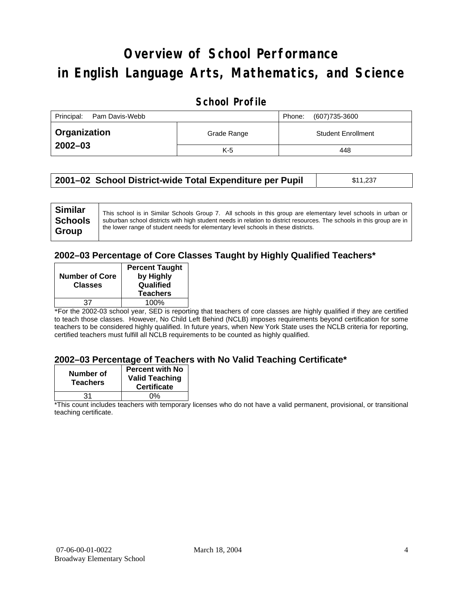# **Overview of School Performance in English Language Arts, Mathematics, and Science**

### **School Profile**

| Principal:<br>Pam Davis-Webb |             | Phone:<br>(607) 735-3600  |
|------------------------------|-------------|---------------------------|
| <b>∪ Organization</b>        | Grade Range | <b>Student Enrollment</b> |
| $2002 - 03$                  | $K-5$       | 448                       |

| 2001–02 School District-wide Total Expenditure per Pupil | \$11,237 |
|----------------------------------------------------------|----------|
|----------------------------------------------------------|----------|

#### **2002–03 Percentage of Core Classes Taught by Highly Qualified Teachers\***

| <b>Number of Core</b><br><b>Classes</b> | <b>Percent Taught</b><br>by Highly<br>Qualified<br><b>Teachers</b> |
|-----------------------------------------|--------------------------------------------------------------------|
|                                         |                                                                    |
| 37                                      | 100%                                                               |
|                                         |                                                                    |

\*For the 2002-03 school year, SED is reporting that teachers of core classes are highly qualified if they are certified to teach those classes. However, No Child Left Behind (NCLB) imposes requirements beyond certification for some teachers to be considered highly qualified. In future years, when New York State uses the NCLB criteria for reporting, certified teachers must fulfill all NCLB requirements to be counted as highly qualified.

#### **2002–03 Percentage of Teachers with No Valid Teaching Certificate\***

| Number of<br><b>Teachers</b> | <b>Percent with No</b><br><b>Valid Teaching</b><br><b>Certificate</b> |
|------------------------------|-----------------------------------------------------------------------|
| 31                           | ሰ%                                                                    |

\*This count includes teachers with temporary licenses who do not have a valid permanent, provisional, or transitional teaching certificate.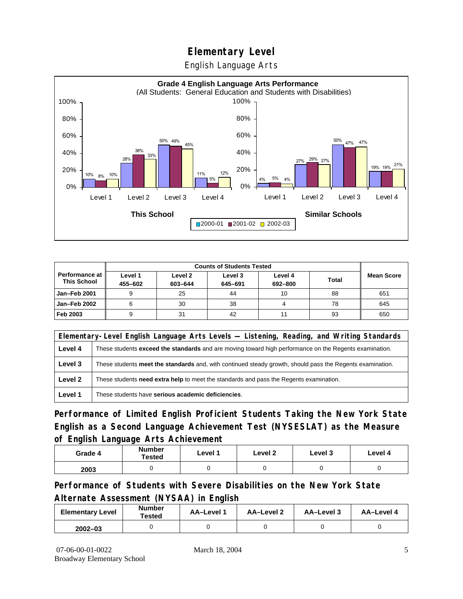English Language Arts



|                                        |                    | <b>Counts of Students Tested</b> |                    |                    |              |                   |
|----------------------------------------|--------------------|----------------------------------|--------------------|--------------------|--------------|-------------------|
| Performance at I<br><b>This School</b> | Level 1<br>455-602 | Level 2<br>603-644               | Level 3<br>645-691 | Level 4<br>692-800 | <b>Total</b> | <b>Mean Score</b> |
| Jan-Feb 2001                           |                    | 25                               | 44                 | 10                 | 88           | 651               |
| Jan-Feb 2002                           |                    | 30                               | 38                 | 4                  | 78           | 645               |
| Feb 2003                               |                    | 31                               | 42                 | 11                 | 93           | 650               |

| Elementary-Level English Language Arts Levels — Listening, Reading, and Writing Standards |                                                                                                           |  |  |  |
|-------------------------------------------------------------------------------------------|-----------------------------------------------------------------------------------------------------------|--|--|--|
| Level 4                                                                                   | These students exceed the standards and are moving toward high performance on the Regents examination.    |  |  |  |
| Level 3                                                                                   | These students meet the standards and, with continued steady growth, should pass the Regents examination. |  |  |  |
| Level 2                                                                                   | These students <b>need extra help</b> to meet the standards and pass the Regents examination.             |  |  |  |
| Level 1                                                                                   | These students have serious academic deficiencies.                                                        |  |  |  |

**Performance of Limited English Proficient Students Taking the New York State English as a Second Language Achievement Test (NYSESLAT) as the Measure of English Language Arts Achievement**

| Grade 4 | <b>Number</b><br><b>Tested</b> | Level 1 | Level 2 | Level 3 | Level 4 |
|---------|--------------------------------|---------|---------|---------|---------|
| 2003    |                                |         |         |         |         |

**Performance of Students with Severe Disabilities on the New York State Alternate Assessment (NYSAA) in English** 

| <b>Elementary Level</b> | <b>Number</b><br>Tested | AA-Level | AA-Level 2 | AA-Level 3 | AA-Level 4 |
|-------------------------|-------------------------|----------|------------|------------|------------|
| $2002 - 03$             |                         |          |            |            |            |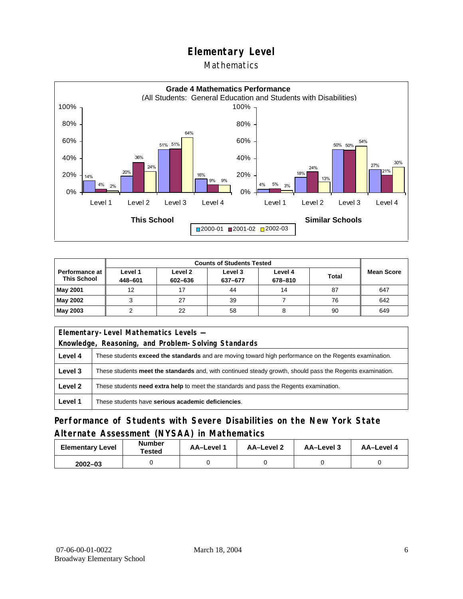### Mathematics



| Performance at I<br><b>This School</b> | Level 1<br>448-601 | Level 2<br>602-636 | Level 3<br>637-677 | Level 4<br>678-810 | <b>Total</b> | <b>Mean Score</b> |
|----------------------------------------|--------------------|--------------------|--------------------|--------------------|--------------|-------------------|
| <b>May 2001</b>                        | 12                 |                    | 44                 | 14                 | 87           | 647               |
| May 2002                               |                    | 27                 | 39                 |                    | 76           | 642               |
| May 2003                               |                    | 22                 | 58                 |                    | 90           | 649               |

|                                                                                                   | Elementary-Level Mathematics Levels -                                                                         |  |  |  |
|---------------------------------------------------------------------------------------------------|---------------------------------------------------------------------------------------------------------------|--|--|--|
|                                                                                                   | Knowledge, Reasoning, and Problem-Solving Standards                                                           |  |  |  |
| Level 4                                                                                           | These students <b>exceed the standards</b> and are moving toward high performance on the Regents examination. |  |  |  |
| Level 3                                                                                           | These students meet the standards and, with continued steady growth, should pass the Regents examination.     |  |  |  |
| Level 2<br>These students need extra help to meet the standards and pass the Regents examination. |                                                                                                               |  |  |  |
| Level 1                                                                                           | These students have serious academic deficiencies.                                                            |  |  |  |

### **Performance of Students with Severe Disabilities on the New York State Alternate Assessment (NYSAA) in Mathematics**

| <b>Elementary Level</b> | <b>Number</b><br>Tested | AA-Level 1 | AA-Level 2 | AA-Level 3 | AA-Level 4 |  |
|-------------------------|-------------------------|------------|------------|------------|------------|--|
| $2002 - 03$             |                         |            |            |            |            |  |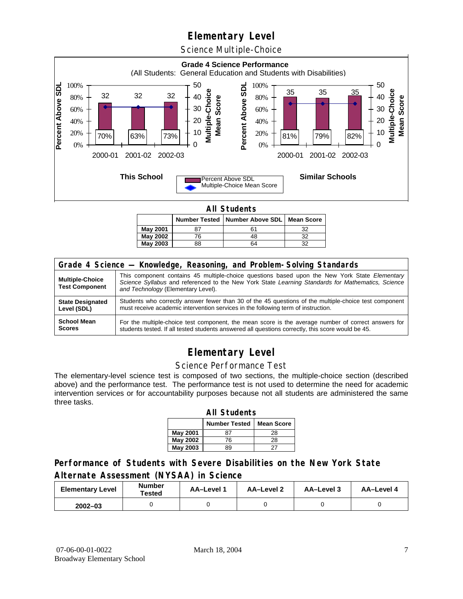Science Multiple-Choice



**All Students** 

|          |    | Number Tested   Number Above SDL   Mean Score |    |
|----------|----|-----------------------------------------------|----|
| May 2001 | 87 |                                               | 32 |
| May 2002 | 76 | 48                                            | 32 |
| May 2003 | 88 | 64                                            | າາ |

| Grade 4 Science - Knowledge, Reasoning, and Problem-Solving Standards |                                                                                                                                                                                                                                          |  |  |  |  |  |
|-----------------------------------------------------------------------|------------------------------------------------------------------------------------------------------------------------------------------------------------------------------------------------------------------------------------------|--|--|--|--|--|
| <b>Multiple-Choice</b><br><b>Test Component</b>                       | This component contains 45 multiple-choice questions based upon the New York State Elementary<br>Science Syllabus and referenced to the New York State Learning Standards for Mathematics, Science<br>and Technology (Elementary Level). |  |  |  |  |  |
| <b>State Designated</b>                                               | Students who correctly answer fewer than 30 of the 45 questions of the multiple-choice test component                                                                                                                                    |  |  |  |  |  |
| Level (SDL)                                                           | must receive academic intervention services in the following term of instruction.                                                                                                                                                        |  |  |  |  |  |
| <b>School Mean</b>                                                    | For the multiple-choice test component, the mean score is the average number of correct answers for                                                                                                                                      |  |  |  |  |  |
| <b>Scores</b>                                                         | students tested. If all tested students answered all questions correctly, this score would be 45.                                                                                                                                        |  |  |  |  |  |

## **Elementary Level**

#### Science Performance Test

The elementary-level science test is composed of two sections, the multiple-choice section (described above) and the performance test. The performance test is not used to determine the need for academic intervention services or for accountability purposes because not all students are administered the same three tasks.

| <b>All Students</b>                       |    |    |  |  |  |  |  |  |  |
|-------------------------------------------|----|----|--|--|--|--|--|--|--|
| <b>Number Tested</b><br><b>Mean Score</b> |    |    |  |  |  |  |  |  |  |
| May 2001                                  | 87 | 28 |  |  |  |  |  |  |  |
| May 2002                                  | 76 | 28 |  |  |  |  |  |  |  |
| <b>May 2003</b>                           |    |    |  |  |  |  |  |  |  |

### **Performance of Students with Severe Disabilities on the New York State Alternate Assessment (NYSAA) in Science**

| <b>Elementary Level</b> | <b>Number</b><br>Tested | AA-Level 1 | <b>AA-Level 2</b> | AA-Level 3 | AA-Level 4 |  |
|-------------------------|-------------------------|------------|-------------------|------------|------------|--|
| $2002 - 03$             |                         |            |                   |            |            |  |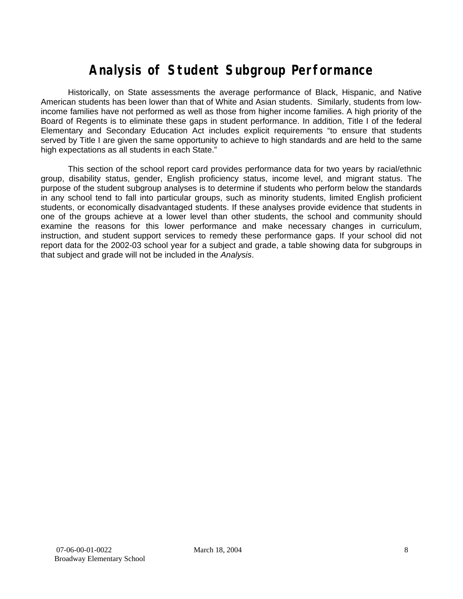# **Analysis of Student Subgroup Performance**

Historically, on State assessments the average performance of Black, Hispanic, and Native American students has been lower than that of White and Asian students. Similarly, students from lowincome families have not performed as well as those from higher income families. A high priority of the Board of Regents is to eliminate these gaps in student performance. In addition, Title I of the federal Elementary and Secondary Education Act includes explicit requirements "to ensure that students served by Title I are given the same opportunity to achieve to high standards and are held to the same high expectations as all students in each State."

This section of the school report card provides performance data for two years by racial/ethnic group, disability status, gender, English proficiency status, income level, and migrant status. The purpose of the student subgroup analyses is to determine if students who perform below the standards in any school tend to fall into particular groups, such as minority students, limited English proficient students, or economically disadvantaged students. If these analyses provide evidence that students in one of the groups achieve at a lower level than other students, the school and community should examine the reasons for this lower performance and make necessary changes in curriculum, instruction, and student support services to remedy these performance gaps. If your school did not report data for the 2002-03 school year for a subject and grade, a table showing data for subgroups in that subject and grade will not be included in the *Analysis*.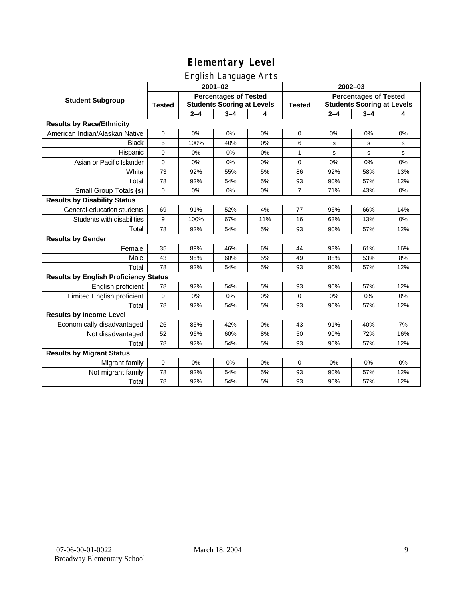English Language Arts

|                                              | $2001 - 02$                                                                        |         |         |               | 2002-03                                                           |         |         |     |
|----------------------------------------------|------------------------------------------------------------------------------------|---------|---------|---------------|-------------------------------------------------------------------|---------|---------|-----|
| <b>Student Subgroup</b>                      | <b>Percentages of Tested</b><br><b>Students Scoring at Levels</b><br><b>Tested</b> |         |         | <b>Tested</b> | <b>Percentages of Tested</b><br><b>Students Scoring at Levels</b> |         |         |     |
|                                              |                                                                                    | $2 - 4$ | $3 - 4$ | 4             |                                                                   | $2 - 4$ | $3 - 4$ | 4   |
| <b>Results by Race/Ethnicity</b>             |                                                                                    |         |         |               |                                                                   |         |         |     |
| American Indian/Alaskan Native               | $\mathbf 0$                                                                        | 0%      | 0%      | 0%            | $\Omega$                                                          | 0%      | 0%      | 0%  |
| <b>Black</b>                                 | 5                                                                                  | 100%    | 40%     | 0%            | 6                                                                 | s       | s       | s   |
| Hispanic                                     | $\Omega$                                                                           | 0%      | 0%      | 0%            | $\mathbf{1}$                                                      | s       | s       | s   |
| Asian or Pacific Islander                    | $\mathbf 0$                                                                        | 0%      | 0%      | 0%            | 0                                                                 | 0%      | 0%      | 0%  |
| White                                        | 73                                                                                 | 92%     | 55%     | 5%            | 86                                                                | 92%     | 58%     | 13% |
| Total                                        | 78                                                                                 | 92%     | 54%     | 5%            | 93                                                                | 90%     | 57%     | 12% |
| Small Group Totals (s)                       | $\mathbf 0$                                                                        | 0%      | 0%      | 0%            | $\overline{7}$                                                    | 71%     | 43%     | 0%  |
| <b>Results by Disability Status</b>          |                                                                                    |         |         |               |                                                                   |         |         |     |
| General-education students                   | 69                                                                                 | 91%     | 52%     | 4%            | 77                                                                | 96%     | 66%     | 14% |
| Students with disabilities                   | 9                                                                                  | 100%    | 67%     | 11%           | 16                                                                | 63%     | 13%     | 0%  |
| Total                                        | 78                                                                                 | 92%     | 54%     | 5%            | 93                                                                | 90%     | 57%     | 12% |
| <b>Results by Gender</b>                     |                                                                                    |         |         |               |                                                                   |         |         |     |
| Female                                       | 35                                                                                 | 89%     | 46%     | 6%            | 44                                                                | 93%     | 61%     | 16% |
| Male                                         | 43                                                                                 | 95%     | 60%     | 5%            | 49                                                                | 88%     | 53%     | 8%  |
| Total                                        | 78                                                                                 | 92%     | 54%     | 5%            | 93                                                                | 90%     | 57%     | 12% |
| <b>Results by English Proficiency Status</b> |                                                                                    |         |         |               |                                                                   |         |         |     |
| English proficient                           | 78                                                                                 | 92%     | 54%     | 5%            | 93                                                                | 90%     | 57%     | 12% |
| Limited English proficient                   | 0                                                                                  | 0%      | 0%      | 0%            | 0                                                                 | 0%      | 0%      | 0%  |
| Total                                        | 78                                                                                 | 92%     | 54%     | 5%            | 93                                                                | 90%     | 57%     | 12% |
| <b>Results by Income Level</b>               |                                                                                    |         |         |               |                                                                   |         |         |     |
| Economically disadvantaged                   | 26                                                                                 | 85%     | 42%     | 0%            | 43                                                                | 91%     | 40%     | 7%  |
| Not disadvantaged                            | 52                                                                                 | 96%     | 60%     | 8%            | 50                                                                | 90%     | 72%     | 16% |
| Total                                        | 78                                                                                 | 92%     | 54%     | 5%            | 93                                                                | 90%     | 57%     | 12% |
| <b>Results by Migrant Status</b>             |                                                                                    |         |         |               |                                                                   |         |         |     |
| Migrant family                               | 0                                                                                  | 0%      | 0%      | 0%            | 0                                                                 | 0%      | 0%      | 0%  |
| Not migrant family                           | 78                                                                                 | 92%     | 54%     | 5%            | 93                                                                | 90%     | 57%     | 12% |
| Total                                        | 78                                                                                 | 92%     | 54%     | 5%            | 93                                                                | 90%     | 57%     | 12% |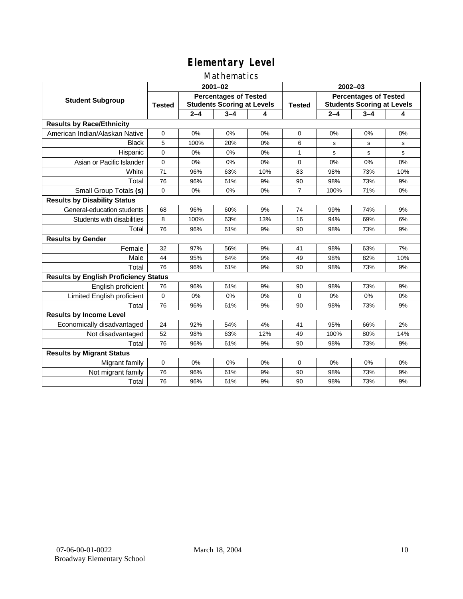### Mathematics

|                                              | $2001 - 02$                                                                        |         |         |               | 2002-03                                                           |         |         |     |
|----------------------------------------------|------------------------------------------------------------------------------------|---------|---------|---------------|-------------------------------------------------------------------|---------|---------|-----|
| <b>Student Subgroup</b>                      | <b>Percentages of Tested</b><br><b>Students Scoring at Levels</b><br><b>Tested</b> |         |         | <b>Tested</b> | <b>Percentages of Tested</b><br><b>Students Scoring at Levels</b> |         |         |     |
|                                              |                                                                                    | $2 - 4$ | $3 - 4$ | 4             |                                                                   | $2 - 4$ | $3 - 4$ | 4   |
| <b>Results by Race/Ethnicity</b>             |                                                                                    |         |         |               |                                                                   |         |         |     |
| American Indian/Alaskan Native               | $\mathbf 0$                                                                        | 0%      | 0%      | 0%            | $\Omega$                                                          | 0%      | 0%      | 0%  |
| <b>Black</b>                                 | 5                                                                                  | 100%    | 20%     | 0%            | 6                                                                 | s       | s       | s   |
| Hispanic                                     | $\Omega$                                                                           | 0%      | 0%      | 0%            | 1                                                                 | s       | s       | s   |
| Asian or Pacific Islander                    | 0                                                                                  | 0%      | 0%      | 0%            | $\mathbf 0$                                                       | 0%      | 0%      | 0%  |
| White                                        | 71                                                                                 | 96%     | 63%     | 10%           | 83                                                                | 98%     | 73%     | 10% |
| Total                                        | 76                                                                                 | 96%     | 61%     | 9%            | 90                                                                | 98%     | 73%     | 9%  |
| Small Group Totals (s)                       | $\Omega$                                                                           | 0%      | 0%      | 0%            | $\overline{7}$                                                    | 100%    | 71%     | 0%  |
| <b>Results by Disability Status</b>          |                                                                                    |         |         |               |                                                                   |         |         |     |
| General-education students                   | 68                                                                                 | 96%     | 60%     | 9%            | 74                                                                | 99%     | 74%     | 9%  |
| Students with disabilities                   | 8                                                                                  | 100%    | 63%     | 13%           | 16                                                                | 94%     | 69%     | 6%  |
| Total                                        | 76                                                                                 | 96%     | 61%     | 9%            | 90                                                                | 98%     | 73%     | 9%  |
| <b>Results by Gender</b>                     |                                                                                    |         |         |               |                                                                   |         |         |     |
| Female                                       | 32                                                                                 | 97%     | 56%     | 9%            | 41                                                                | 98%     | 63%     | 7%  |
| Male                                         | 44                                                                                 | 95%     | 64%     | 9%            | 49                                                                | 98%     | 82%     | 10% |
| Total                                        | 76                                                                                 | 96%     | 61%     | 9%            | 90                                                                | 98%     | 73%     | 9%  |
| <b>Results by English Proficiency Status</b> |                                                                                    |         |         |               |                                                                   |         |         |     |
| English proficient                           | 76                                                                                 | 96%     | 61%     | 9%            | 90                                                                | 98%     | 73%     | 9%  |
| Limited English proficient                   | 0                                                                                  | 0%      | 0%      | 0%            | $\mathbf 0$                                                       | 0%      | 0%      | 0%  |
| Total                                        | 76                                                                                 | 96%     | 61%     | 9%            | 90                                                                | 98%     | 73%     | 9%  |
| <b>Results by Income Level</b>               |                                                                                    |         |         |               |                                                                   |         |         |     |
| Economically disadvantaged                   | 24                                                                                 | 92%     | 54%     | 4%            | 41                                                                | 95%     | 66%     | 2%  |
| Not disadvantaged                            | 52                                                                                 | 98%     | 63%     | 12%           | 49                                                                | 100%    | 80%     | 14% |
| Total                                        | 76                                                                                 | 96%     | 61%     | 9%            | 90                                                                | 98%     | 73%     | 9%  |
| <b>Results by Migrant Status</b>             |                                                                                    |         |         |               |                                                                   |         |         |     |
| Migrant family                               | 0                                                                                  | 0%      | 0%      | 0%            | $\mathbf 0$                                                       | 0%      | 0%      | 0%  |
| Not migrant family                           | 76                                                                                 | 96%     | 61%     | 9%            | 90                                                                | 98%     | 73%     | 9%  |
| Total                                        | 76                                                                                 | 96%     | 61%     | 9%            | 90                                                                | 98%     | 73%     | 9%  |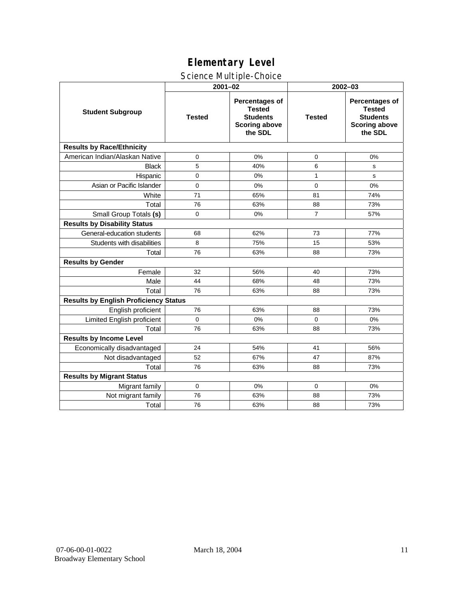### Science Multiple-Choice

|                                              | $2001 - 02$   |                                                                                       | 2002-03        |                                                                                              |  |  |
|----------------------------------------------|---------------|---------------------------------------------------------------------------------------|----------------|----------------------------------------------------------------------------------------------|--|--|
| <b>Student Subgroup</b>                      | <b>Tested</b> | Percentages of<br><b>Tested</b><br><b>Students</b><br><b>Scoring above</b><br>the SDL | <b>Tested</b>  | <b>Percentages of</b><br><b>Tested</b><br><b>Students</b><br><b>Scoring above</b><br>the SDL |  |  |
| <b>Results by Race/Ethnicity</b>             |               |                                                                                       |                |                                                                                              |  |  |
| American Indian/Alaskan Native               | 0             | 0%                                                                                    | 0              | 0%                                                                                           |  |  |
| <b>Black</b>                                 | 5             | 40%                                                                                   | 6              | s                                                                                            |  |  |
| Hispanic                                     | $\Omega$      | 0%                                                                                    | $\mathbf{1}$   | s                                                                                            |  |  |
| Asian or Pacific Islander                    | $\Omega$      | 0%                                                                                    | $\Omega$       | 0%                                                                                           |  |  |
| White                                        | 71            | 65%                                                                                   | 81             | 74%                                                                                          |  |  |
| Total                                        | 76            | 63%                                                                                   | 88             | 73%                                                                                          |  |  |
| Small Group Totals (s)                       | $\mathbf 0$   | 0%                                                                                    | $\overline{7}$ | 57%                                                                                          |  |  |
| <b>Results by Disability Status</b>          |               |                                                                                       |                |                                                                                              |  |  |
| General-education students                   | 68            | 62%                                                                                   | 73             | 77%                                                                                          |  |  |
| Students with disabilities                   | 8             | 75%                                                                                   | 15             | 53%                                                                                          |  |  |
| Total                                        | 76            | 63%                                                                                   | 88             | 73%                                                                                          |  |  |
| <b>Results by Gender</b>                     |               |                                                                                       |                |                                                                                              |  |  |
| Female                                       | 32            | 56%                                                                                   | 40             | 73%                                                                                          |  |  |
| Male                                         | 44            | 68%                                                                                   | 48             | 73%                                                                                          |  |  |
| Total                                        | 76            | 63%                                                                                   | 88             | 73%                                                                                          |  |  |
| <b>Results by English Proficiency Status</b> |               |                                                                                       |                |                                                                                              |  |  |
| English proficient                           | 76            | 63%                                                                                   | 88             | 73%                                                                                          |  |  |
| Limited English proficient                   | $\mathbf 0$   | 0%                                                                                    | $\mathbf 0$    | 0%                                                                                           |  |  |
| Total                                        | 76            | 63%                                                                                   | 88             | 73%                                                                                          |  |  |
| <b>Results by Income Level</b>               |               |                                                                                       |                |                                                                                              |  |  |
| Economically disadvantaged                   | 24            | 54%                                                                                   | 41             | 56%                                                                                          |  |  |
| Not disadvantaged                            | 52            | 67%                                                                                   | 47             | 87%                                                                                          |  |  |
| Total                                        | 76            | 63%                                                                                   | 88             | 73%                                                                                          |  |  |
| <b>Results by Migrant Status</b>             |               |                                                                                       |                |                                                                                              |  |  |
| Migrant family                               | $\mathbf 0$   | 0%                                                                                    | 0              | 0%                                                                                           |  |  |
| Not migrant family                           | 76            | 63%                                                                                   | 88             | 73%                                                                                          |  |  |
| Total                                        | 76            | 63%                                                                                   | 88             | 73%                                                                                          |  |  |